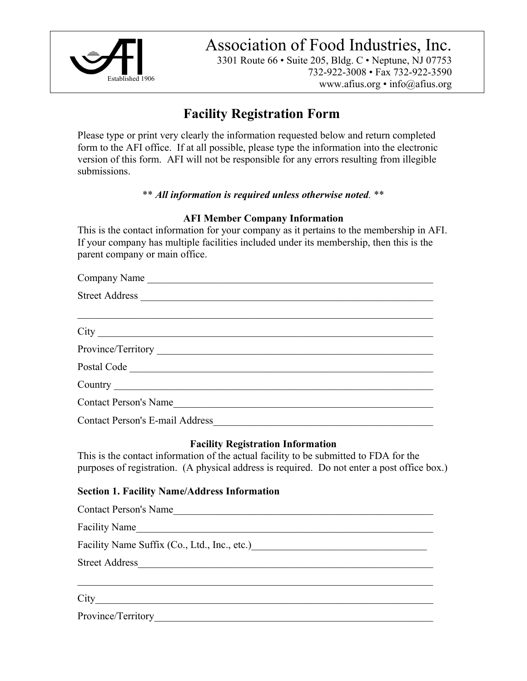

Association of Food Industries, Inc.

3301 Route 66 • Suite 205, Bldg. C • Neptune, NJ 07753 732-922-3008 • Fax 732-922-3590 www.afius.org • info@afius.org

# **Facility Registration Form**

Please type or print very clearly the information requested below and return completed form to the AFI office. If at all possible, please type the information into the electronic version of this form. AFI will not be responsible for any errors resulting from illegible submissions.

# \*\* *All information is required unless otherwise noted.* \*\*

## **AFI Member Company Information**

This is the contact information for your company as it pertains to the membership in AFI. If your company has multiple facilities included under its membership, then this is the parent company or main office.

| Company Name                           |  |  |
|----------------------------------------|--|--|
| Street Address                         |  |  |
|                                        |  |  |
|                                        |  |  |
|                                        |  |  |
| Postal Code                            |  |  |
|                                        |  |  |
| Contact Person's Name                  |  |  |
| <b>Contact Person's E-mail Address</b> |  |  |

## **Facility Registration Information**

This is the contact information of the actual facility to be submitted to FDA for the purposes of registration. (A physical address is required. Do not enter a post office box.)

# **Section 1. Facility Name/Address Information**

| <b>Contact Person's Name</b>                                                                                                                  |
|-----------------------------------------------------------------------------------------------------------------------------------------------|
| <b>Facility Name</b><br><u> 1980 - Jan Barbara Barbara, manazarta da kasas da shekara 1980 - 1981 - 1982 - 1982 - 1982 - 1983 - 1984 - 19</u> |
| Facility Name Suffix (Co., Ltd., Inc., etc.)<br><u>Facility Name Suffix (Co., Ltd.</u> , Inc., etc.)                                          |
| <b>Street Address</b>                                                                                                                         |
|                                                                                                                                               |
|                                                                                                                                               |
| Province/Territory                                                                                                                            |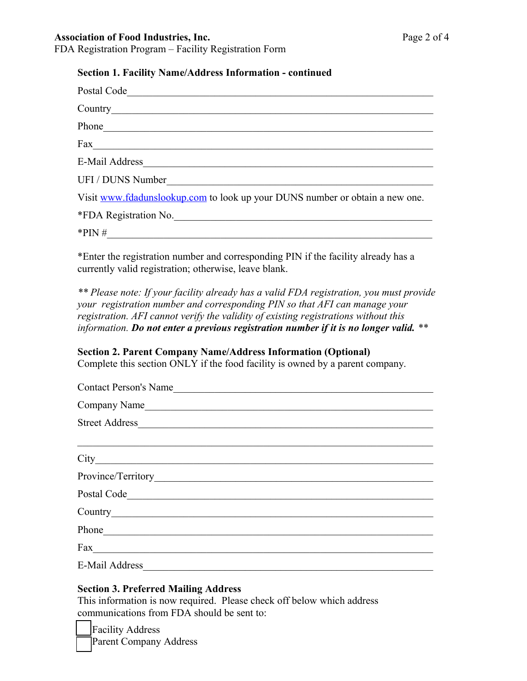## Association of Food Industries, Inc. **Page 2 of 4**

FDA Registration Program – Facility Registration Form

#### **Section 1. Facility Name/Address Information - continued**

| Postal Code                                                                                                                                                                                                                    |
|--------------------------------------------------------------------------------------------------------------------------------------------------------------------------------------------------------------------------------|
| Country expansion of the control of the control of the control of the control of the control of the control of the control of the control of the control of the control of the control of the control of the control of the co |
|                                                                                                                                                                                                                                |
| $\frac{Fax}{ax}$                                                                                                                                                                                                               |
|                                                                                                                                                                                                                                |
| UFI / DUNS Number                                                                                                                                                                                                              |
| Visit www.fdadunslookup.com to look up your DUNS number or obtain a new one.                                                                                                                                                   |
| *FDA Registration No.                                                                                                                                                                                                          |
| $*PIN \#$                                                                                                                                                                                                                      |
| $*$ Enter the registration number and corresponding $\overline{D}N$ if the feelity elready has a                                                                                                                               |

\*Enter the registration number and corresponding PIN if the facility already has a currently valid registration; otherwise, leave blank.

*\*\* Please note: If your facility already has a valid FDA registration, you must provide your registration number and corresponding PIN so that AFI can manage your registration. AFI cannot verify the validity of existing registrations without this information. Do not enter a previous registration number if it is no longer valid. \*\**

## **Section 2. Parent Company Name/Address Information (Optional)**

Complete this section ONLY if the food facility is owned by a parent company.

| Contact Person's Name                                                                                                                                                                                                          |  |  |
|--------------------------------------------------------------------------------------------------------------------------------------------------------------------------------------------------------------------------------|--|--|
| Company Name                                                                                                                                                                                                                   |  |  |
| Street Address                                                                                                                                                                                                                 |  |  |
|                                                                                                                                                                                                                                |  |  |
|                                                                                                                                                                                                                                |  |  |
| Province/Territory 2008                                                                                                                                                                                                        |  |  |
| Postal Code                                                                                                                                                                                                                    |  |  |
| Country experience of the control of the control of the control of the control of the control of the control of the control of the control of the control of the control of the control of the control of the control of the c |  |  |
|                                                                                                                                                                                                                                |  |  |
|                                                                                                                                                                                                                                |  |  |
| E-Mail Address                                                                                                                                                                                                                 |  |  |

## **Section 3. Preferred Mailing Address**

This information is now required. Please check off below which address communications from FDA should be sent to:

Facility Address Parent Company Address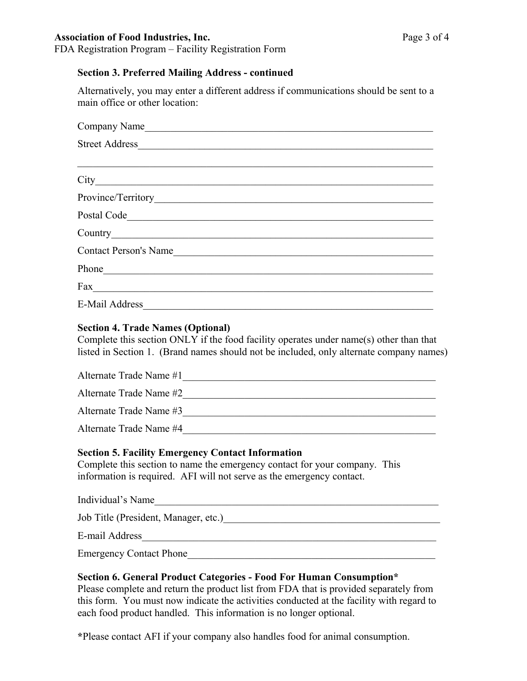#### Association of Food Industries, Inc. **Page 3 of 4**

FDA Registration Program – Facility Registration Form

## **Section 3. Preferred Mailing Address - continued**

Alternatively, you may enter a different address if communications should be sent to a main office or other location:

| Company Name                                                                                                                                                                                                                   |  |  |
|--------------------------------------------------------------------------------------------------------------------------------------------------------------------------------------------------------------------------------|--|--|
|                                                                                                                                                                                                                                |  |  |
|                                                                                                                                                                                                                                |  |  |
|                                                                                                                                                                                                                                |  |  |
|                                                                                                                                                                                                                                |  |  |
| Postal Code                                                                                                                                                                                                                    |  |  |
| Country expansion of the control of the control of the control of the control of the control of the control of the control of the control of the control of the control of the control of the control of the control of the co |  |  |
| Contact Person's Name                                                                                                                                                                                                          |  |  |
|                                                                                                                                                                                                                                |  |  |
| $\text{Fax}_{\text{max}}$                                                                                                                                                                                                      |  |  |
| E-Mail Address and the contract of the contract of the contract of the contract of the contract of the contract of the contract of the contract of the contract of the contract of the contract of the contract of the contrac |  |  |

#### **Section 4. Trade Names (Optional)**

Complete this section ONLY if the food facility operates under name(s) other than that listed in Section 1. (Brand names should not be included, only alternate company names)

| Alternate Trade Name #1 |  |
|-------------------------|--|
| Alternate Trade Name #2 |  |
| Alternate Trade Name #3 |  |
| Alternate Trade Name #4 |  |

## **Section 5. Facility Emergency Contact Information**

Complete this section to name the emergency contact for your company. This information is required. AFI will not serve as the emergency contact.

Individual's Name\_\_\_\_\_\_\_\_\_\_\_\_\_\_\_\_\_\_\_\_\_\_\_\_\_\_\_\_\_\_\_\_\_\_\_\_\_\_\_\_\_\_\_\_\_\_\_\_\_\_\_\_\_\_\_

Job Title (President, Manager, etc.)\_\_\_\_\_\_\_\_\_\_\_\_\_\_\_\_\_\_\_\_\_\_\_\_\_\_\_\_\_\_\_\_\_\_\_\_\_\_\_\_\_\_

E-mail Address\_\_\_\_\_\_\_\_\_\_\_\_\_\_\_\_\_\_\_\_\_\_\_\_\_\_\_\_\_\_\_\_\_\_\_\_\_\_\_\_\_\_\_\_\_\_\_\_\_\_\_\_\_\_\_\_\_

Emergency Contact Phone\_\_\_\_\_\_\_\_\_\_\_\_\_\_\_\_\_\_\_\_\_\_\_\_\_\_\_\_\_\_\_\_\_\_\_\_\_\_\_\_\_\_\_\_\_\_\_\_

## **Section 6. General Product Categories - Food For Human Consumption\***

Please complete and return the product list from FDA that is provided separately from this form. You must now indicate the activities conducted at the facility with regard to each food product handled. This information is no longer optional.

**\***Please contact AFI if your company also handles food for animal consumption.